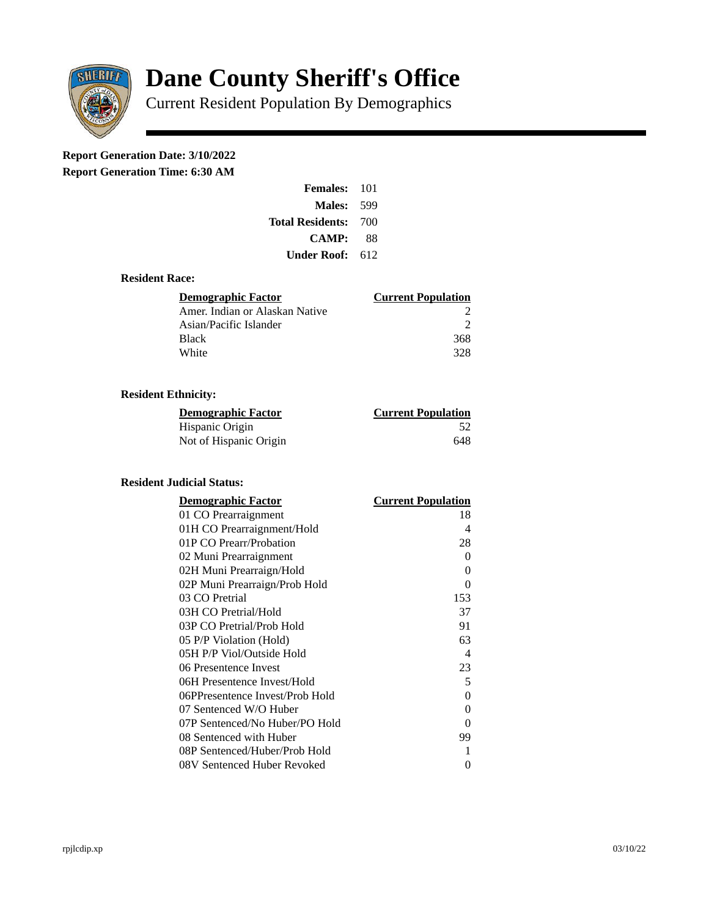

# **Dane County Sheriff's Office**

Current Resident Population By Demographics

# **Report Generation Date: 3/10/2022**

**Report Generation Time: 6:30 AM** 

| Females:                | 101 |
|-------------------------|-----|
| Males:                  | 599 |
| <b>Total Residents:</b> | 700 |
| <b>CAMP:</b>            | 88  |
| Under Roof: \           | 612 |

#### **Resident Race:**

| Demographic Factor             | <b>Current Population</b> |
|--------------------------------|---------------------------|
| Amer. Indian or Alaskan Native |                           |
| Asian/Pacific Islander         | ⊃                         |
| <b>Black</b>                   | 368                       |
| White                          | 328                       |

## **Resident Ethnicity:**

| <u> Demographic Factor</u> | <b>Current Population</b> |
|----------------------------|---------------------------|
| Hispanic Origin            | 52                        |
| Not of Hispanic Origin     | 648                       |

#### **Resident Judicial Status:**

| <b>Demographic Factor</b>       | <b>Current Population</b>  |
|---------------------------------|----------------------------|
| 01 CO Prearraignment            | 18                         |
| 01H CO Prearraignment/Hold      | 4                          |
| 01P CO Prearr/Probation         | 28                         |
| 02 Muni Prearraignment          | 0                          |
| 02H Muni Prearraign/Hold        | 0                          |
| 02P Muni Prearraign/Prob Hold   | 0                          |
| 03 CO Pretrial                  | 153                        |
| 03H CO Pretrial/Hold            | 37                         |
| 03P CO Pretrial/Prob Hold       | 91                         |
| 05 P/P Violation (Hold)         | 63                         |
| 05H P/P Viol/Outside Hold       | $\boldsymbol{\mathcal{A}}$ |
| 06 Presentence Invest           | 23                         |
| 06H Presentence Invest/Hold     | 5                          |
| 06PPresentence Invest/Prob Hold | 0                          |
| 07 Sentenced W/O Huber          | 0                          |
| 07P Sentenced/No Huber/PO Hold  | 0                          |
| 08 Sentenced with Huber         | 99                         |
| 08P Sentenced/Huber/Prob Hold   | 1                          |
| 08V Sentenced Huber Revoked     | 0                          |